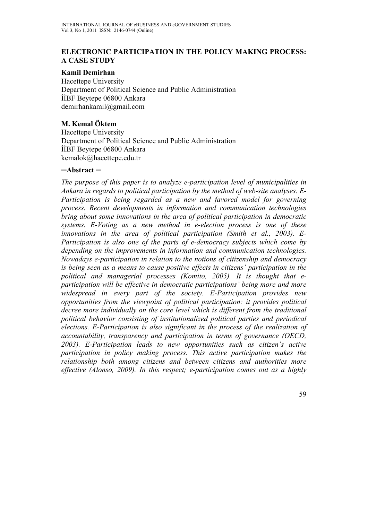## **ELECTRONIC PARTICIPATION IN THE POLICY MAKING PROCESS: A CASE STUDY**

### **Kamil Demirhan**

Hacettepe University Department of Political Science and Public Administration İİBF Beytepe 06800 Ankara demirhankamil@gmail.com

### **M. Kemal Öktem**

Hacettepe University Department of Political Science and Public Administration İİBF Beytepe 06800 Ankara kemalok@hacettepe.edu.tr

### **─Abstract ─**

*The purpose of this paper is to analyze e-participation level of municipalities in Ankara in regards to political participation by the method of web-site analyses. E-Participation is being regarded as a new and favored model for governing process. Recent developments in information and communication technologies bring about some innovations in the area of political participation in democratic systems. E-Voting as a new method in e-election process is one of these innovations in the area of political participation (Smith et al., 2003). E-Participation is also one of the parts of e-democracy subjects which come by depending on the improvements in information and communication technologies. Nowadays e-participation in relation to the notions of citizenship and democracy is being seen as a means to cause positive effects in citizens' participation in the political and managerial processes (Komito, 2005). It is thought that eparticipation will be effective in democratic participations' being more and more widespread in every part of the society. E-Participation provides new opportunities from the viewpoint of political participation: it provides political decree more individually on the core level which is different from the traditional political behavior consisting of institutionalized political parties and periodical elections. E-Participation is also significant in the process of the realization of accountability, transparency and participation in terms of governance (OECD, 2003). E-Participation leads to new opportunities such as citizen's active participation in policy making process. This active participation makes the relationship both among citizens and between citizens and authorities more effective (Alonso, 2009). In this respect; e-participation comes out as a highly*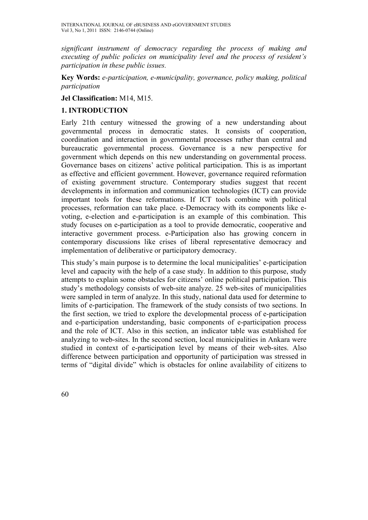*significant instrument of democracy regarding the process of making and executing of public policies on municipality level and the process of resident's participation in these public issues.* 

**Key Words:** *e-participation, e-municipality, governance, policy making, political participation*

### **Jel Classification:** M14, M15.

# **1. INTRODUCTION**

Early 21th century witnessed the growing of a new understanding about governmental process in democratic states. It consists of cooperation, coordination and interaction in governmental processes rather than central and bureaucratic governmental process. Governance is a new perspective for government which depends on this new understanding on governmental process. Governance bases on citizens' active political participation. This is as important as effective and efficient government. However, governance required reformation of existing government structure. Contemporary studies suggest that recent developments in information and communication technologies (ICT) can provide important tools for these reformations. If ICT tools combine with political processes, reformation can take place. e-Democracy with its components like evoting, e-election and e-participation is an example of this combination. This study focuses on e-participation as a tool to provide democratic, cooperative and interactive government process. e-Participation also has growing concern in contemporary discussions like crises of liberal representative democracy and implementation of deliberative or participatory democracy.

This study's main purpose is to determine the local municipalities' e-participation level and capacity with the help of a case study. In addition to this purpose, study attempts to explain some obstacles for citizens' online political participation. This study's methodology consists of web-site analyze. 25 web-sites of municipalities were sampled in term of analyze. In this study, national data used for determine to limits of e-participation. The framework of the study consists of two sections. In the first section, we tried to explore the developmental process of e-participation and e-participation understanding, basic components of e-participation process and the role of ICT. Also in this section, an indicator table was established for analyzing to web-sites. In the second section, local municipalities in Ankara were studied in context of e-participation level by means of their web-sites. Also difference between participation and opportunity of participation was stressed in terms of "digital divide" which is obstacles for online availability of citizens to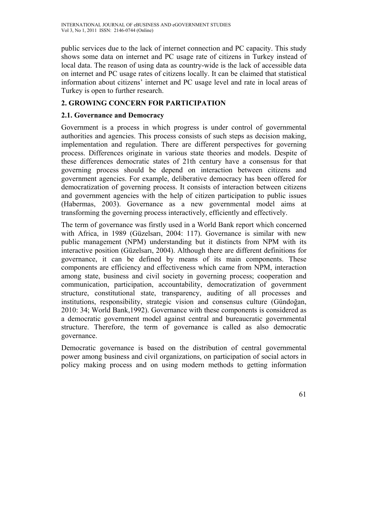public services due to the lack of internet connection and PC capacity. This study shows some data on internet and PC usage rate of citizens in Turkey instead of local data. The reason of using data as country-wide is the lack of accessible data on internet and PC usage rates of citizens locally. It can be claimed that statistical information about citizens' internet and PC usage level and rate in local areas of Turkey is open to further research.

# **2. GROWING CONCERN FOR PARTICIPATION**

# **2.1. Governance and Democracy**

Government is a process in which progress is under control of governmental authorities and agencies. This process consists of such steps as decision making, implementation and regulation. There are different perspectives for governing process. Differences originate in various state theories and models. Despite of these differences democratic states of 21th century have a consensus for that governing process should be depend on interaction between citizens and government agencies. For example, deliberative democracy has been offered for democratization of governing process. It consists of interaction between citizens and government agencies with the help of citizen participation to public issues (Habermas, 2003). Governance as a new governmental model aims at transforming the governing process interactively, efficiently and effectively.

The term of governance was firstly used in a World Bank report which concerned with Africa, in 1989 (Güzelsarı, 2004: 117). Governance is similar with new public management (NPM) understanding but it distincts from NPM with its interactive position (Güzelsarı, 2004). Although there are different definitions for governance, it can be defined by means of its main components. These components are efficiency and effectiveness which came from NPM, interaction among state, business and civil society in governing process; cooperation and communication, participation, accountability, democratization of government structure, constitutional state, transparency, auditing of all processes and institutions, responsibility, strategic vision and consensus culture (Gündoğan, 2010: 34; World Bank,1992). Governance with these components is considered as a democratic government model against central and bureaucratic governmental structure. Therefore, the term of governance is called as also democratic governance.

Democratic governance is based on the distribution of central governmental power among business and civil organizations, on participation of social actors in policy making process and on using modern methods to getting information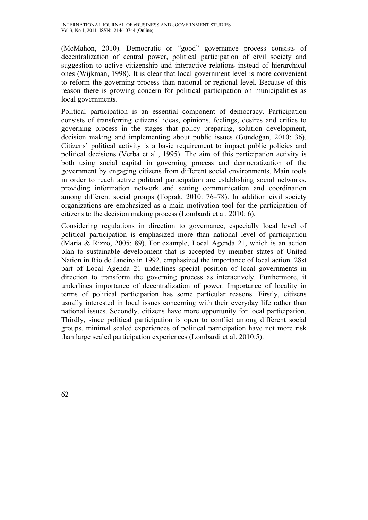(McMahon, 2010). Democratic or "good" governance process consists of decentralization of central power, political participation of civil society and suggestion to active citizenship and interactive relations instead of hierarchical ones (Wijkman, 1998). It is clear that local government level is more convenient to reform the governing process than national or regional level. Because of this reason there is growing concern for political participation on municipalities as local governments.

Political participation is an essential component of democracy. Participation consists of transferring citizens' ideas, opinions, feelings, desires and critics to governing process in the stages that policy preparing, solution development, decision making and implementing about public issues (Gündoğan, 2010: 36). Citizens' political activity is a basic requirement to impact public policies and political decisions (Verba et al., 1995). The aim of this participation activity is both using social capital in governing process and democratization of the government by engaging citizens from different social environments. Main tools in order to reach active political participation are establishing social networks, providing information network and setting communication and coordination among different social groups (Toprak, 2010: 76–78). In addition civil society organizations are emphasized as a main motivation tool for the participation of citizens to the decision making process (Lombardi et al. 2010: 6).

Considering regulations in direction to governance, especially local level of political participation is emphasized more than national level of participation (Maria & Rizzo, 2005: 89). For example, Local Agenda 21, which is an action plan to sustainable development that is accepted by member states of United Nation in Rio de Janeiro in 1992, emphasized the importance of local action. 28st part of Local Agenda 21 underlines special position of local governments in direction to transform the governing process as interactively. Furthermore, it underlines importance of decentralization of power. Importance of locality in terms of political participation has some particular reasons. Firstly, citizens usually interested in local issues concerning with their everyday life rather than national issues. Secondly, citizens have more opportunity for local participation. Thirdly, since political participation is open to conflict among different social groups, minimal scaled experiences of political participation have not more risk than large scaled participation experiences (Lombardi et al. 2010:5).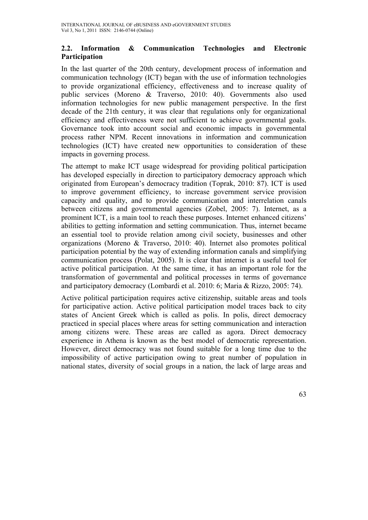# **2.2. Information & Communication Technologies and Electronic Participation**

In the last quarter of the 20th century, development process of information and communication technology (ICT) began with the use of information technologies to provide organizational efficiency, effectiveness and to increase quality of public services (Moreno & Traverso, 2010: 40). Governments also used information technologies for new public management perspective. In the first decade of the 21th century, it was clear that regulations only for organizational efficiency and effectiveness were not sufficient to achieve governmental goals. Governance took into account social and economic impacts in governmental process rather NPM. Recent innovations in information and communication technologies (ICT) have created new opportunities to consideration of these impacts in governing process.

The attempt to make ICT usage widespread for providing political participation has developed especially in direction to participatory democracy approach which originated from European's democracy tradition (Toprak, 2010: 87). ICT is used to improve government efficiency, to increase government service provision capacity and quality, and to provide communication and interrelation canals between citizens and governmental agencies (Zobel, 2005: 7). Internet, as a prominent ICT, is a main tool to reach these purposes. Internet enhanced citizens' abilities to getting information and setting communication. Thus, internet became an essential tool to provide relation among civil society, businesses and other organizations (Moreno & Traverso, 2010: 40). Internet also promotes political participation potential by the way of extending information canals and simplifying communication process (Polat, 2005). It is clear that internet is a useful tool for active political participation. At the same time, it has an important role for the transformation of governmental and political processes in terms of governance and participatory democracy (Lombardi et al. 2010: 6; Maria & Rizzo, 2005: 74).

Active political participation requires active citizenship, suitable areas and tools for participative action. Active political participation model traces back to city states of Ancient Greek which is called as polis. In polis, direct democracy practiced in special places where areas for setting communication and interaction among citizens were. These areas are called as agora. Direct democracy experience in Athena is known as the best model of democratic representation. However, direct democracy was not found suitable for a long time due to the impossibility of active participation owing to great number of population in national states, diversity of social groups in a nation, the lack of large areas and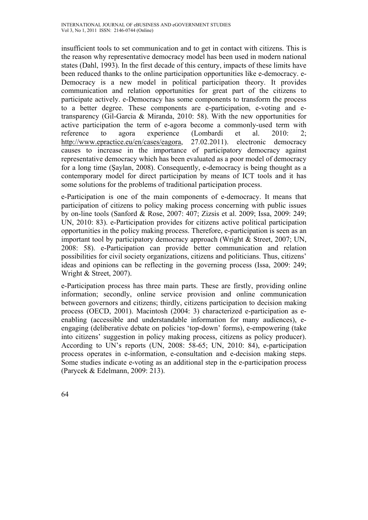insufficient tools to set communication and to get in contact with citizens. This is the reason why representative democracy model has been used in modern national states (Dahl, 1993). In the first decade of this century, impacts of these limits have been reduced thanks to the online participation opportunities like e-democracy. e-Democracy is a new model in political participation theory. It provides communication and relation opportunities for great part of the citizens to participate actively. e-Democracy has some components to transform the process to a better degree. These components are e-participation, e-voting and etransparency (Gil-Garcia & Miranda, 2010: 58). With the new opportunities for active participation the term of e-agora become a commonly-used term with reference to agora experience (Lombardi et al. 2010: 2; http://www.epractice<u>.eu/en/cases/eagora</u>, 27.02.2011). electronic democracy causes to increase in the importance of participatory democracy against representative democracy which has been evaluated as a poor model of democracy for a long time (Şaylan, 2008). Consequently, e-democracy is being thought as a contemporary model for direct participation by means of ICT tools and it has some solutions for the problems of traditional participation process.

e-Participation is one of the main components of e-democracy. It means that participation of citizens to policy making process concerning with public issues by on-line tools (Sanford & Rose, 2007: 407; Zizsis et al. 2009; Issa, 2009: 249; UN, 2010: 83). e-Participation provides for citizens active political participation opportunities in the policy making process. Therefore, e-participation is seen as an important tool by participatory democracy approach (Wright & Street, 2007; UN, 2008: 58). e-Participation can provide better communication and relation possibilities for civil society organizations, citizens and politicians. Thus, citizens' ideas and opinions can be reflecting in the governing process (Issa, 2009: 249; Wright & Street, 2007).

e-Participation process has three main parts. These are firstly, providing online information; secondly, online service provision and online communication between governors and citizens; thirdly, citizens participation to decision making process (OECD, 2001). Macintosh (2004: 3) characterized e-participation as eenabling (accessible and understandable information for many audiences), eengaging (deliberative debate on policies 'top-down' forms), e-empowering (take into citizens' suggestion in policy making process, citizens as policy producer). According to UN's reports (UN, 2008: 58-65; UN, 2010: 84), e-participation process operates in e-information, e-consultation and e-decision making steps. Some studies indicate e-voting as an additional step in the e-participation process (Parycek & Edelmann, 2009: 213).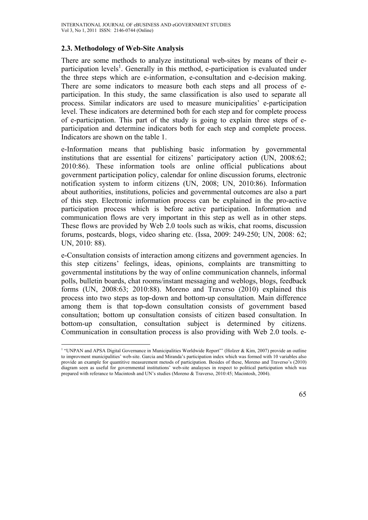### **2.3. Methodology of Web-Site Analysis**

 $\overline{a}$ 

There are some methods to analyze institutional web-sites by means of their eparticipation levels<sup>1</sup>. Generally in this method, e-participation is evaluated under the three steps which are e-information, e-consultation and e-decision making. There are some indicators to measure both each steps and all process of eparticipation. In this study, the same classification is also used to separate all process. Similar indicators are used to measure municipalities' e-participation level. These indicators are determined both for each step and for complete process of e-participation. This part of the study is going to explain three steps of eparticipation and determine indicators both for each step and complete process. Indicators are shown on the table 1.

e-Information means that publishing basic information by governmental institutions that are essential for citizens' participatory action (UN, 2008:62; 2010:86). These information tools are online official publications about government participation policy, calendar for online discussion forums, electronic notification system to inform citizens (UN, 2008; UN, 2010:86). Information about authorities, institutions, policies and governmental outcomes are also a part of this step. Electronic information process can be explained in the pro-active participation process which is before active participation. Information and communication flows are very important in this step as well as in other steps. These flows are provided by Web 2.0 tools such as wikis, chat rooms, discussion forums, postcards, blogs, video sharing etc. (Issa, 2009: 249-250; UN, 2008: 62; UN, 2010: 88).

e-Consultation consists of interaction among citizens and government agencies. In this step citizens' feelings, ideas, opinions, complaints are transmitting to governmental institutions by the way of online communication channels, informal polls, bulletin boards, chat rooms/instant messaging and weblogs, blogs, feedback forms (UN, 2008:63; 2010:88). Moreno and Traverso (2010) explained this process into two steps as top-down and bottom-up consultation. Main difference among them is that top-down consultation consists of government based consultation; bottom up consultation consists of citizen based consultation. In bottom-up consultation, consultation subject is determined by citizens. Communication in consultation process is also providing with Web 2.0 tools. e-

<sup>&</sup>lt;sup>1</sup> "UNPAN and APSA Digital Governance in Municipalities Worldwide Report"' (Holzer & Kim, 2007) provide an outline to improvment municipalities' web-site. Garcia and Miranda's participation index which was formed with 10 variables also provide an example for quantitive measurement metods of participation. Besides of these, Moreno and Traverso's (2010) diagram seen as useful for governmental institutions' web-site analayses in respect to political participation which was prepared with referance to Macintosh and UN's studies (Moreno & Traverso, 2010:45; Macintosh, 2004).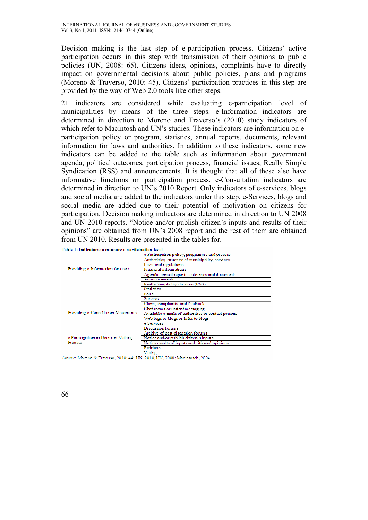Decision making is the last step of e-participation process. Citizens' active participation occurs in this step with transmission of their opinions to public policies (UN, 2008: 65). Citizens ideas, opinions, complaints have to directly impact on governmental decisions about public policies, plans and programs (Moreno & Traverso, 2010: 45). Citizens' participation practices in this step are provided by the way of Web 2.0 tools like other steps.

21 indicators are considered while evaluating e-participation level of municipalities by means of the three steps. e-Information indicators are determined in direction to Moreno and Traverso's (2010) study indicators of which refer to Macintosh and UN's studies. These indicators are information on eparticipation policy or program, statistics, annual reports, documents, relevant information for laws and authorities. In addition to these indicators, some new indicators can be added to the table such as information about government agenda, political outcomes, participation process, financial issues, Really Simple Syndication (RSS) and announcements. It is thought that all of these also have informative functions on participation process. e-Consultation indicators are determined in direction to UN's 2010 Report. Only indicators of e-services, blogs and social media are added to the indicators under this step. e-Services, blogs and social media are added due to their potential of motivation on citizens for participation. Decision making indicators are determined in direction to UN 2008 and UN 2010 reports. "Notice and/or publish citizen's inputs and results of their opinions" are obtained from UN's 2008 report and the rest of them are obtained from UN 2010. Results are presented in the tables for.

| Table 1: Indicators to measure e-participation level |                                                     |
|------------------------------------------------------|-----------------------------------------------------|
|                                                      | e-Participation policy, programme and process       |
|                                                      | Authorities, structure of municipality, services    |
|                                                      | Laws and regulations                                |
| Providing e-Information for users                    | Financial informations                              |
|                                                      | Agenda, annual reports, outcomes and documents      |
|                                                      | Announcements                                       |
|                                                      | Really Simple Syndication (RSS)                     |
|                                                      | <b>Statistics</b>                                   |
|                                                      | Polls                                               |
|                                                      | <b>Surveys</b>                                      |
|                                                      | Claim, complaints and feedback                      |
|                                                      | Chat rooms or instant messaging                     |
| Providing e-Consultation Mecanisms                   | Available e-mails of authorities or contact persons |
|                                                      | Weblogs or blogs or links to blogs                  |
|                                                      | e-Services                                          |
|                                                      | Discussion forums                                   |
|                                                      | Archive of past discussion forums                   |
| e-Participation in Decision Making                   | Notice and/or publish citizen's inputs              |
| <b>Process</b>                                       | Notice results of inputs and citizens' opinions     |
|                                                      | <b>Petitions</b>                                    |
|                                                      | V oting                                             |
| - -<br>. .                                           |                                                     |

Table 1: Indicators to measure a narticipation level

Source: Moreno & Traverso, 2010: 44; UN, 2010, UN, 2008; Macintosch, 2004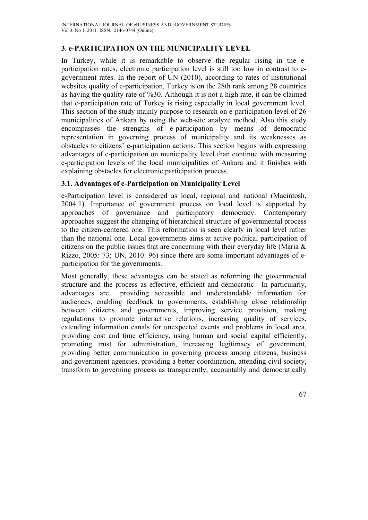# **3. e-PARTICIPATION ON THE MUNICIPALITY LEVEL**

In Turkey, while it is remarkable to observe the regular rising in the eparticipation rates, electronic participation level is still too low in contrast to egovernment rates. In the report of UN (2010), according to rates of institutional websites quality of e-participation, Turkey is on the 28th rank among 28 countries as having the quality rate of %30. Although it is not a high rate, it can be claimed that e-participation rate of Turkey is rising especially in local government level. This section of the study mainly purpose to research on e-participation level of 26 municipalities of Ankara by using the web-site analyze method. Also this study encompasses the strengths of e-participation by means of democratic representation in governing process of municipality and its weaknesses as obstacles to citizens' e-participation actions. This section begins with expressing advantages of e-participation on municipality level than continue with measuring e-participation levels of the local municipalities of Ankara and it finishes with explaining obstacles for electronic participation process.

## **3.1. Advantages of e-Participation on Municipality Level**

e-Participation level is considered as local, regional and national (Macintosh, 2004:1). Importance of government process on local level is supported by approaches of governance and participatory democracy. Contemporary approaches suggest the changing of hierarchical structure of governmental process to the citizen-centered one. This reformation is seen clearly in local level rather than the national one. Local governments aims at active political participation of citizens on the public issues that are concerning with their everyday life (Maria & Rizzo, 2005: 73; UN, 2010: 96) since there are some important advantages of eparticipation for the governments.

Most generally, these advantages can be stated as reforming the governmental structure and the process as effective, efficient and democratic. In particularly, advantages are providing accessible and understandable information for audiences, enabling feedback to governments, establishing close relationship between citizens and governments, improving service provision, making regulations to promote interactive relations, increasing quality of services, extending information canals for unexpected events and problems in local area, providing cost and time efficiency, using human and social capital efficiently, promoting trust for administration, increasing legitimacy of government, providing better communication in governing process among citizens, business and government agencies, providing a better coordination, attending civil society, transform to governing process as transparently, accountably and democratically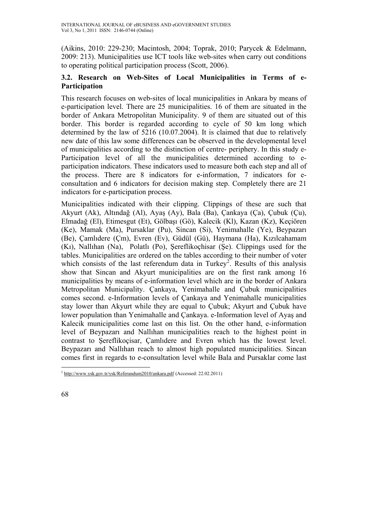(Aikins, 2010: 229-230; Macintosh, 2004; Toprak, 2010; Parycek & Edelmann, 2009: 213). Municipalities use ICT tools like web-sites when carry out conditions to operating political participation process (Scott, 2006).

## **3.2. Research on Web-Sites of Local Municipalities in Terms of e-Participation**

This research focuses on web-sites of local municipalities in Ankara by means of e-participation level. There are 25 municipalities. 16 of them are situated in the border of Ankara Metropolitan Municipality. 9 of them are situated out of this border. This border is regarded according to cycle of 50 km long which determined by the law of 5216 (10.07.2004). It is claimed that due to relatively new date of this law some differences can be observed in the developmental level of municipalities according to the distinction of centre- periphery. In this study e-Participation level of all the municipalities determined according to eparticipation indicators. These indicators used to measure both each step and all of the process. There are 8 indicators for e-information, 7 indicators for econsultation and 6 indicators for decision making step. Completely there are 21 indicators for e-participation process.

Municipalities indicated with their clipping. Clippings of these are such that Akyurt (Ak), Altındağ (Al), Ayaş (Ay), Bala (Ba), Çankaya (Ça), Çubuk (Çu), Elmadağ (El), Etimesgut (Et), Gölbaşı (Gö), Kalecik (Kl), Kazan (Kz), Keçiören (Ke), Mamak (Ma), Pursaklar (Pu), Sincan (Si), Yenimahalle (Ye), Beypazarı (Be), Çamlıdere (Çm), Evren (Ev), Güdül (Gü), Haymana (Ha), Kızılcahamam (Kı), Nallıhan (Na), Polatlı (Po), Şereflikoçhisar (Şe). Clippings used for the tables. Municipalities are ordered on the tables according to their number of voter which consists of the last referendum data in Turkey<sup>2</sup>. Results of this analysis show that Sincan and Akyurt municipalities are on the first rank among 16 municipalities by means of e-information level which are in the border of Ankara Metropolitan Municipality. Çankaya, Yenimahalle and Çubuk municipalities comes second. e-Information levels of Çankaya and Yenimahalle municipalities stay lower than Akyurt while they are equal to Çubuk; Akyurt and Çubuk have lower population than Yenimahalle and Çankaya. e-Information level of Ayaş and Kalecik municipalities come last on this list. On the other hand, e-information level of Beypazarı and Nallıhan municipalities reach to the highest point in contrast to Şereflikoçisar, Çamlıdere and Evren which has the lowest level. Beypazarı and Nallıhan reach to almost high populated municipalities. Sincan comes first in regards to e-consultation level while Bala and Pursaklar come last

 $\overline{a}$  $^{2}$  http://www.ysk.gov.tr/ysk/Referandum2010/ankara.pdf (Accessed: 22.02.2011)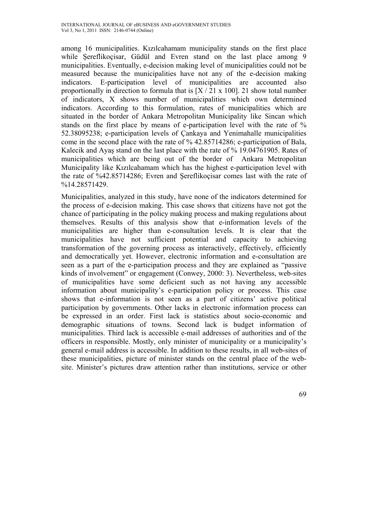among 16 municipalities. Kızılcahamam municipality stands on the first place while Şereflikoçisar, Güdül and Evren stand on the last place among 9 municipalities. Eventually, e-decision making level of municipalities could not be measured because the municipalities have not any of the e-decision making indicators. E-participation level of municipalities are accounted also proportionally in direction to formula that is  $[X / 21 \times 100]$ . 21 show total number of indicators, X shows number of municipalities which own determined indicators. According to this formulation, rates of municipalities which are situated in the border of Ankara Metropolitan Municipality like Sincan which stands on the first place by means of e-participation level with the rate of % 52.38095238; e-participation levels of Çankaya and Yenimahalle municipalities come in the second place with the rate of % 42.85714286; e-participation of Bala, Kalecik and Ayaş stand on the last place with the rate of % 19.04761905. Rates of municipalities which are being out of the border of Ankara Metropolitan Municipality like Kızılcahamam which has the highest e-participation level with the rate of %42.85714286; Evren and Şereflikoçisar comes last with the rate of %14.28571429.

Municipalities, analyzed in this study, have none of the indicators determined for the process of e-decision making. This case shows that citizens have not got the chance of participating in the policy making process and making regulations about themselves. Results of this analysis show that e-information levels of the municipalities are higher than e-consultation levels. It is clear that the municipalities have not sufficient potential and capacity to achieving transformation of the governing process as interactively, effectively, efficiently and democratically yet. However, electronic information and e-consultation are seen as a part of the e-participation process and they are explained as "passive kinds of involvement" or engagement (Conwey, 2000: 3). Nevertheless, web-sites of municipalities have some deficient such as not having any accessible information about municipality's e-participation policy or process. This case shows that e-information is not seen as a part of citizens' active political participation by governments. Other lacks in electronic information process can be expressed in an order. First lack is statistics about socio-economic and demographic situations of towns. Second lack is budget information of municipalities. Third lack is accessible e-mail addresses of authorities and of the officers in responsible. Mostly, only minister of municipality or a municipality's general e-mail address is accessible. In addition to these results, in all web-sites of these municipalities, picture of minister stands on the central place of the website. Minister's pictures draw attention rather than institutions, service or other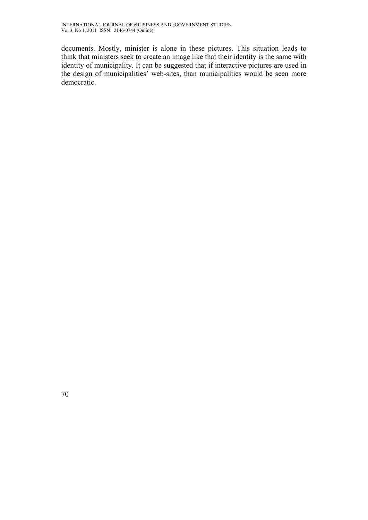documents. Mostly, minister is alone in these pictures. This situation leads to think that ministers seek to create an image like that their identity is the same with identity of municipality. It can be suggested that if interactive pictures are used in the design of municipalities' web-sites, than municipalities would be seen more democratic.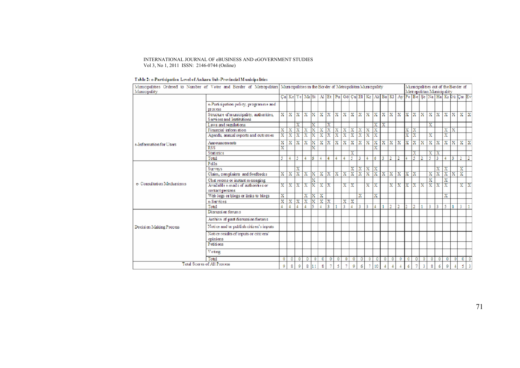### Table 2: e-Participation Level of Ankara Sub-Provincial Municipalities

| Municipality                |                                                                      |                         | Municipalities Ordered to Number of Voter and Border of Metropolitan Municipalities in the Border of Metropolitan Municipality |                         |                         |                         |                         |                         |                         |                         | Municipalities out of the Border of<br>Metropolitan Municipality |                         |                         |                         |                         |                |   |                         |                         |                         |                         |                         |                         |                                                 |                                                                                                        |                         |
|-----------------------------|----------------------------------------------------------------------|-------------------------|--------------------------------------------------------------------------------------------------------------------------------|-------------------------|-------------------------|-------------------------|-------------------------|-------------------------|-------------------------|-------------------------|------------------------------------------------------------------|-------------------------|-------------------------|-------------------------|-------------------------|----------------|---|-------------------------|-------------------------|-------------------------|-------------------------|-------------------------|-------------------------|-------------------------------------------------|--------------------------------------------------------------------------------------------------------|-------------------------|
|                             |                                                                      |                         |                                                                                                                                |                         |                         |                         |                         |                         |                         |                         |                                                                  |                         |                         |                         |                         |                |   |                         |                         |                         |                         |                         |                         |                                                 | Ça  Ke  Ye  Ma Si   Al   Et   Pu  Gö  Çu  E1   Kz   Ak  Ba  Kl   Ay   Po  Be  Şe  Na  Ha  Kı Gü Çm  Ev |                         |
|                             | e-Participation policy, programme and<br>process                     |                         |                                                                                                                                |                         |                         |                         |                         |                         |                         |                         |                                                                  |                         |                         |                         |                         |                |   |                         |                         |                         |                         |                         |                         |                                                 |                                                                                                        |                         |
|                             | Structure of municipality, authorities,<br>Services and Institutions | x                       | $\overline{\mathbf{x}}$                                                                                                        | $\mathbf x$             | $\mathbf x$             | $X$ $X$                 |                         | $\overline{\mathbf{x}}$ | $\mathbf x$             | $\mathbf x$             | $\mathbf x$                                                      | $\mathbf x$             | $\mathbf x$             | $\mathbf{x}$            | $\overline{\mathbf{x}}$ | $\mathbf{x}$   | x | lх                      | $\overline{\mathbf{x}}$ | $\mathbf x$             | $\mathbf x$             | $\mathbf x$             | $X$ $X$                 |                                                 | $X \mid X$                                                                                             |                         |
|                             | Laws and regulations                                                 |                         |                                                                                                                                | X                       |                         | X                       |                         | Х                       |                         |                         |                                                                  |                         |                         | Х                       | $\overline{\mathbf{X}}$ |                |   |                         |                         |                         | X                       |                         |                         |                                                 |                                                                                                        |                         |
|                             | Financial information                                                | X                       | $\mathbf x$                                                                                                                    | $\overline{\mathbf{x}}$ | X                       |                         | $X$ $X$                 | $\overline{\mathbf{x}}$ | $\mathbf x$             | x                       | $\mathbf x$                                                      | x                       | $\mathbf x$             | $\overline{\mathbf{x}}$ |                         |                |   | X                       | X                       |                         |                         |                         |                         | $X \, X$                                        |                                                                                                        |                         |
|                             | Agenda, annual reports and outcomes                                  | $\overline{\text{x}}$   | $\overline{\mathbf{x}}$                                                                                                        | Τx                      | $\overline{\mathbf{x}}$ | X                       | $\overline{\mathbf{x}}$ | $\overline{\mathbf{x}}$ | $\overline{\mathbf{x}}$ | $\overline{\mathbf{x}}$ | $\overline{\mathbf{x}}$                                          | $\overline{\mathbf{x}}$ | $\overline{\mathbf{x}}$ | $\overline{\mathbf{x}}$ |                         |                |   | $\overline{\mathbf{x}}$ | $\overline{\mathbf{x}}$ |                         | $\overline{\mathbf{x}}$ |                         | $\overline{\mathbf{x}}$ |                                                 |                                                                                                        |                         |
| e-Information for Users     | Announcements                                                        | X                       | $\mathbf x$                                                                                                                    | $\bf x$                 | x                       | X                       | x                       | $\mathbf x$             | $\overline{\mathbf{x}}$ | X                       | x                                                                | X                       | X                       | x                       | $\mathbf x$             | $X \mid X$     |   | $\overline{\mathbf{x}}$ | $\mathbf x$             | $\mathbf x$             | $\mathbf x$             | x                       |                         | $X \mid X$                                      | $\mathbf{X}^-$                                                                                         | $\overline{\mathbf{x}}$ |
|                             | RSS                                                                  | x                       |                                                                                                                                |                         |                         | X                       |                         |                         |                         |                         |                                                                  |                         |                         | х                       |                         |                |   |                         |                         |                         |                         |                         |                         |                                                 |                                                                                                        |                         |
|                             | <b>Statistics</b>                                                    |                         |                                                                                                                                |                         |                         |                         |                         |                         |                         |                         | $\overline{\text{X}}$                                            |                         |                         |                         |                         |                |   |                         | X                       |                         | Х                       | Х                       |                         |                                                 |                                                                                                        |                         |
|                             | Total                                                                | 5.                      |                                                                                                                                | 5                       | $\overline{4}$          | 6                       |                         | 4                       |                         | 4                       | 5                                                                | 3                       |                         | 6                       | 3                       |                | 2 |                         | 5.                      | $\overline{2}$          | 5                       | 3                       |                         | 3                                               | 2                                                                                                      |                         |
|                             | Pol1s                                                                |                         |                                                                                                                                |                         |                         |                         |                         |                         |                         |                         |                                                                  |                         |                         |                         |                         |                |   |                         |                         |                         |                         |                         |                         |                                                 |                                                                                                        |                         |
|                             | <b>Surveys</b>                                                       |                         |                                                                                                                                | $\overline{\mathbf{x}}$ |                         |                         |                         |                         |                         |                         | $\overline{\mathbf{x}}$                                          | $\mathbf{x}$            | $\mathbf x$             |                         |                         |                |   |                         |                         |                         |                         | X                       | $\overline{\mathbf{x}}$ |                                                 | $\overline{\mathbf{x}}$                                                                                |                         |
|                             | Claim, complaints and feedbacks                                      | $\overline{\mathbf{x}}$ | $\mathbf x$                                                                                                                    | $\overline{\mathbf{x}}$ | $\mathbf x$             |                         | $X$ $X$                 | ΙX                      | $X \mid X$              |                         | $\overline{\mathbf{x}}$                                          | $\overline{\mathbf{X}}$ | $\overline{\mathbf{x}}$ | $\overline{\mathbf{x}}$ | $\overline{\mathbf{X}}$ | $X \mid X$     |   | $X$ $X$                 |                         |                         | X                       | $\overline{\mathbf{x}}$ |                         | $\overline{\mathbf{x}}$ $\overline{\mathbf{x}}$ | $\overline{\mathbf{x}}$                                                                                |                         |
|                             | Chat rooms or instant messaging                                      |                         |                                                                                                                                |                         |                         | X                       |                         |                         |                         |                         |                                                                  |                         |                         |                         |                         |                |   |                         |                         |                         | $\overline{\mathbf{x}}$ |                         | X                       |                                                 |                                                                                                        |                         |
| e- Consultation Mechanisms  | Available e-mails of authorities or                                  | x                       |                                                                                                                                | $X$   $X$               | $\overline{\mathbf{x}}$ | İΧ                      | Τx                      | lх                      |                         | $\overline{\mathbf{x}}$ | Ιx                                                               |                         | X                       | Ιx                      |                         | $\overline{X}$ | x | lх                      | Τx                      | $\overline{\mathbf{x}}$ |                         | $\overline{\mathbf{x}}$ | $\overline{\mathbf{x}}$ |                                                 | $X$ $X$                                                                                                |                         |
|                             | contact persons                                                      |                         |                                                                                                                                |                         |                         |                         |                         |                         |                         |                         |                                                                  |                         |                         |                         |                         |                |   |                         |                         |                         |                         |                         |                         |                                                 |                                                                                                        |                         |
|                             | Web logs or blogs or links to blogs                                  | x                       |                                                                                                                                |                         | X                       | $X$ $X$                 |                         |                         |                         |                         |                                                                  | $\overline{\mathbf{x}}$ |                         | $\overline{\mathbf{x}}$ |                         |                |   |                         |                         |                         |                         |                         | x                       |                                                 |                                                                                                        |                         |
|                             | e-Services                                                           | $\overline{\mathbf{x}}$ | $\overline{\mathbf{x}}$                                                                                                        | $\overline{\mathbf{x}}$ | $\overline{\mathbf{x}}$ | $\overline{\mathbf{x}}$ | $\overline{\mathbf{x}}$ | $\overline{\mathbf{x}}$ |                         | x                       | X                                                                |                         |                         |                         |                         |                |   |                         |                         |                         |                         |                         |                         |                                                 |                                                                                                        |                         |
|                             | Total                                                                |                         |                                                                                                                                |                         |                         |                         |                         | 3                       |                         | 3                       |                                                                  | 3                       | 3                       |                         |                         |                |   |                         |                         |                         |                         | 3                       |                         |                                                 | 3                                                                                                      |                         |
|                             | Discussion forums                                                    |                         |                                                                                                                                |                         |                         |                         |                         |                         |                         |                         |                                                                  |                         |                         |                         |                         |                |   |                         |                         |                         |                         |                         |                         |                                                 |                                                                                                        |                         |
|                             | Archive of past discussion forums                                    |                         |                                                                                                                                |                         |                         |                         |                         |                         |                         |                         |                                                                  |                         |                         |                         |                         |                |   |                         |                         |                         |                         |                         |                         |                                                 |                                                                                                        |                         |
| Decision Making Process     | Notice and/or publish citizen's inputs                               |                         |                                                                                                                                |                         |                         |                         |                         |                         |                         |                         |                                                                  |                         |                         |                         |                         |                |   |                         |                         |                         |                         |                         |                         |                                                 |                                                                                                        |                         |
|                             | Notice results of inputs or citiz ens'                               |                         |                                                                                                                                |                         |                         |                         |                         |                         |                         |                         |                                                                  |                         |                         |                         |                         |                |   |                         |                         |                         |                         |                         |                         |                                                 |                                                                                                        |                         |
|                             | opinions                                                             |                         |                                                                                                                                |                         |                         |                         |                         |                         |                         |                         |                                                                  |                         |                         |                         |                         |                |   |                         |                         |                         |                         |                         |                         |                                                 |                                                                                                        |                         |
|                             | Petitions                                                            |                         |                                                                                                                                |                         |                         |                         |                         |                         |                         |                         |                                                                  |                         |                         |                         |                         |                |   |                         |                         |                         |                         |                         |                         |                                                 |                                                                                                        |                         |
|                             | Voting                                                               |                         |                                                                                                                                |                         |                         |                         |                         |                         |                         |                         |                                                                  |                         |                         |                         |                         |                |   |                         |                         |                         |                         |                         |                         |                                                 |                                                                                                        |                         |
|                             | <b>Total</b>                                                         | 0                       | 0                                                                                                                              | 0                       | 0                       | $\mathbf{0}$            | 0                       | 0                       | 0                       | $\mathbf{0}$            | 0                                                                | 0                       | 0                       | 0                       | 0                       | о              |   | $01$ 0                  | 0                       | $\mathbf{0}$            | 0                       | 0                       | 0                       | $\bf{0}$                                        | 0                                                                                                      | $\overline{0}$          |
| Total Scores of All Process | 9                                                                    | 8                       | 9                                                                                                                              | 8                       | 11                      | S                       |                         | 5                       | $\overline{7}$          | 9                       | 6                                                                |                         | 10                      |                         |                         | 4              | 6 | 7                       |                         | 8                       | 6                       | 9                       |                         | 5 <sub>1</sub>                                  | $\overline{3}$                                                                                         |                         |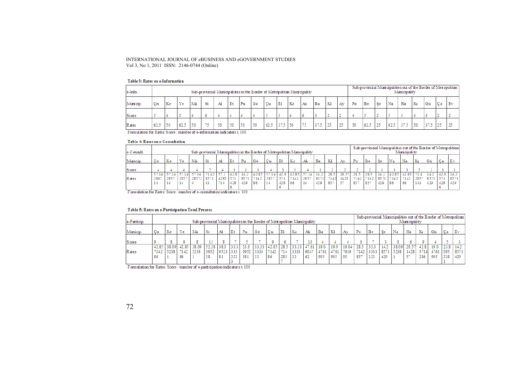#### Table 3: Rates on e-Information

| e-Info.    | Sub-provincial Municipalities in the Border of Metropolitan Municipality |    |      |         |    |         |    |         |     |      |      |    |    | Sub-provincial Municipalities out of the Border of Metropolitan<br>Municipality |    |    |    |      |    |      |      |    |      |    |    |
|------------|--------------------------------------------------------------------------|----|------|---------|----|---------|----|---------|-----|------|------|----|----|---------------------------------------------------------------------------------|----|----|----|------|----|------|------|----|------|----|----|
| Municip.   | C <sub>n</sub>                                                           | Ke | Ye   | Ma      | Si | A1      | Et | Pu      | Gö  | Cu   | E1   | Kz | Ak | Ba                                                                              | K  | Av | Po | Be   | Se | Na   | Ha   | Kı | Gü   | Ca | Εv |
| Score      |                                                                          |    |      |         |    |         |    |         |     |      |      |    |    |                                                                                 |    |    |    |      |    |      |      |    |      |    |    |
| Rates<br>. | 62.5                                                                     | 50 | 62.5 | 50<br>. | пe | ĸ٨<br>. | 50 | 50<br>. | -50 | 62.5 | 37.5 | 50 | 75 | 37                                                                              | 25 | 25 | 50 | 62.5 | 25 | 62.5 | 37.5 | 50 | 37.5 | 25 | 25 |

Formulation for Rates: Score / number of e-information indicators x 100

#### Table 4: Rates on e-Consultation

| e-Consult.   | Sub-provincial Muncipalities in the B order of Metropolitian Municipality |                          |      |      |     |                                          |      |                   |               |      |      |               |            | Sub-provincial Muncipalities out of the Border of Metropolitian<br>Municipality |              |               |              |              |              |               |               |      |      |      |              |
|--------------|---------------------------------------------------------------------------|--------------------------|------|------|-----|------------------------------------------|------|-------------------|---------------|------|------|---------------|------------|---------------------------------------------------------------------------------|--------------|---------------|--------------|--------------|--------------|---------------|---------------|------|------|------|--------------|
| Municip.     | $_{\rm cn}$                                                               | Ke                       | Ye   | Ma   | Si  | Al                                       | Et   | Pu                | Gö            | Cu   | E1   | Kz            | Ak         | Ba                                                                              | K1           | Av            | Po           | Be           | Se           | Na            | Ha            | Kі   | Gü   | Ca   | Ev           |
| <b>Score</b> |                                                                           |                          |      |      |     |                                          |      |                   |               |      |      |               |            |                                                                                 |              |               |              |              |              |               |               |      |      |      |              |
| Rates        | 2867                                                                      | 2857                     | 2857 | 2857 | 857 | 4285                                     | 42.8 | 14.2<br>8571      | 42.85<br>7142 | 2857 | 42.8 | 42.85<br>7142 | 57<br>2857 | -14.                                                                            | 28.5<br>7142 | 28.57<br>1428 | 28.5<br>7142 | 28.5<br>7142 | 14.2<br>8571 | 42.85<br>7142 | 42.85<br>7142 | 2857 | 14.2 | 42.8 | 14.2<br>8571 |
| .            | 14                                                                        | <b>Contract Contract</b> | 14   | -    | 43  | 714<br>the second control and the second | 428  | 429<br><b>ADD</b> | 86            | 14   | 428  | 86            | 14         | 429                                                                             | 857          | 57            | 857          | 1857         | 429          | 86            | 86            | 143  | 429  | 428  | 429          |

Formulation for Rates: Score / number of e-consultation indicators x 100

### Table 5: Rates on e-Participation Total Process

| e-Particip. | Sub-provincial Municipalities in the Border of Metropolitan Municipality |               |                     |               |                     |                     |                     |                     |                     |                     |             |                     |                     | Sub-provincial Municipalities out of the Border of Metropolitan<br>Municipality |                     |                     |                     |                     |                     |               |                     |             |                          |             |                |
|-------------|--------------------------------------------------------------------------|---------------|---------------------|---------------|---------------------|---------------------|---------------------|---------------------|---------------------|---------------------|-------------|---------------------|---------------------|---------------------------------------------------------------------------------|---------------------|---------------------|---------------------|---------------------|---------------------|---------------|---------------------|-------------|--------------------------|-------------|----------------|
| Municip.    | C <sub>n</sub>                                                           | Кe            | Ye                  | Ma            | -Si                 | Al                  | Et                  | Pu                  | Gö                  | Cu                  | E1          | Kz                  | Ak                  | Ba                                                                              | K1                  | Av                  | Po                  | Be                  | -Se                 | Na            | Ha                  | Κı          | Gü                       | Сa          | E <sub>V</sub> |
| Score       |                                                                          |               |                     |               |                     |                     |                     |                     |                     |                     |             |                     |                     |                                                                                 |                     |                     |                     |                     |                     |               |                     |             |                          |             |                |
| Rates       | 42.85<br>7142<br>86                                                      | 38.09<br>5238 | 42.85<br>7142<br>86 | 38.09<br>5238 | 52.38<br>0952<br>38 | 38.0<br>9523<br>-81 | 33.3<br>1333<br>333 | 23.8<br>0952<br>381 | 33.33<br>3333<br>33 | 42.85<br>7142<br>86 | 28.5<br>285 | 33.33<br>3333<br>33 | 47.61<br>9047<br>62 | 19.0<br>4761<br>905                                                             | 19.0<br>4761<br>905 | 19.04<br>7619<br>05 | 28.5<br>7142<br>857 | 33.3<br>3333<br>333 | 14.2<br>8571<br>429 | 38.09<br>5238 | 28.57<br>1428<br>57 | 42.8<br>286 | 19.0<br>5714 4761<br>905 | 1095<br>238 | 8571<br>429    |

Formulation for Rates: Score/number of e-participation indicators x 100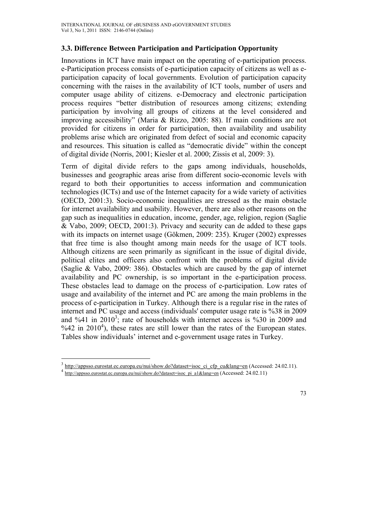# **3.3. Difference Between Participation and Participation Opportunity**

Innovations in ICT have main impact on the operating of e-participation process. e-Participation process consists of e-participation capacity of citizens as well as eparticipation capacity of local governments. Evolution of participation capacity concerning with the raises in the availability of ICT tools, number of users and computer usage ability of citizens. e-Democracy and electronic participation process requires "better distribution of resources among citizens; extending participation by involving all groups of citizens at the level considered and improving accessibility" (Maria & Rizzo, 2005: 88). If main conditions are not provided for citizens in order for participation, then availability and usability problems arise which are originated from defect of social and economic capacity and resources. This situation is called as "democratic divide" within the concept of digital divide (Norris, 2001; Kiesler et al. 2000; Zissis et al, 2009: 3).

Term of digital divide refers to the gaps among individuals, households, businesses and geographic areas arise from different socio-economic levels with regard to both their opportunities to access information and communication technologies (ICTs) and use of the Internet capacity for a wide variety of activities (OECD, 2001:3). Socio-economic inequalities are stressed as the main obstacle for internet availability and usability. However, there are also other reasons on the gap such as inequalities in education, income, gender, age, religion, region (Saglie & Vabo, 2009; OECD, 2001:3). Privacy and security can de added to these gaps with its impacts on internet usage (Gökmen, 2009: 235). Kruger (2002) expresses that free time is also thought among main needs for the usage of ICT tools. Although citizens are seen primarily as significant in the issue of digital divide, political elites and officers also confront with the problems of digital divide (Saglie & Vabo, 2009: 386). Obstacles which are caused by the gap of internet availability and PC ownership, is so important in the e-participation process. These obstacles lead to damage on the process of e-participation. Low rates of usage and availability of the internet and PC are among the main problems in the process of e-participation in Turkey. Although there is a regular rise in the rates of internet and PC usage and access (individuals' computer usage rate is %38 in 2009 and %41 in  $2010<sup>3</sup>$ ; rate of households with internet access is %30 in 2009 and  $\%$ 42 in 2010<sup>4</sup>), these rates are still lower than the rates of the European states. Tables show individuals' internet and e-government usage rates in Turkey.

 $\overline{a}$ 

http://appsso.eurostat.ec.europa.eu/nui/show.do?dataset=isoc\_ci\_cfp\_cu&lang=en (Accessed: 24.02.11).

http://appsso.eurostat.ec.europa.eu/nui/show.do?dataset=isoc\_pi\_a1&lang=en (Accessed: 24.02.11)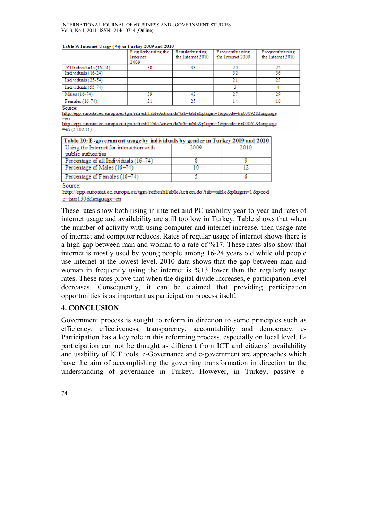#### Table 9: Internet Hospe (9/8 in Turkey 2009 and 2010)

|                         | Regularly using the<br>Internet<br>2009 | Regularly using<br>the Internet 2010 | Frequently using<br>the Internet 2009 | Frequently using<br>the Internet 2010 |
|-------------------------|-----------------------------------------|--------------------------------------|---------------------------------------|---------------------------------------|
| All Individuals (16-74) | 30                                      | 33                                   | 20                                    | 22                                    |
| Individuals (16-24)     |                                         |                                      | 32                                    | 36                                    |
| Individuals $(25-54)$   |                                         |                                      | 21                                    | 23                                    |
| Individuals (55-74)     |                                         |                                      |                                       |                                       |
| Males (16-74)           | 39                                      | 42                                   | 27                                    | 29                                    |
| Females (16-74)         |                                         | 25                                   | 14                                    | 16                                    |

Source

http://epp.eurostat.ec.europa.eu/tgm/refreshTableAction.do?tab=table&plugin=1&pcode=tin00092&language  $=$ en

http://epp.eurostat.ec.europa.eu/tgm/refreshTableAction.do?tab=table&plugin=1&pcode=tin00061&language  $\equiv$ en (24.02.11)

| Tablo 10: E-government usage by individuals by gender in Turkey 2009 and 2010 |      |      |  |  |  |  |  |  |  |  |
|-------------------------------------------------------------------------------|------|------|--|--|--|--|--|--|--|--|
| Using the Internet for interaction with                                       | 2009 | 2010 |  |  |  |  |  |  |  |  |
| public authorities                                                            |      |      |  |  |  |  |  |  |  |  |
| Percentage of all Individuals (16-74)                                         |      |      |  |  |  |  |  |  |  |  |
| Percentage of Males (16-74)                                                   |      |      |  |  |  |  |  |  |  |  |
| Percentage of $F$ emales $(16-74)$                                            |      |      |  |  |  |  |  |  |  |  |

Source:

http://epp.eurostat.ec.europa.eu/tgm/refreshTableAction.do?tab=table&plugin=1&pcod e=tsiir130&language=en

These rates show both rising in internet and PC usability year-to-year and rates of internet usage and availability are still too low in Turkey. Table shows that when the number of activity with using computer and internet increase, then usage rate of internet and computer reduces. Rates of regular usage of internet shows there is a high gap between man and woman to a rate of %17. These rates also show that internet is mostly used by young people among 16-24 years old while old people use internet at the lowest level. 2010 data shows that the gap between man and woman in frequently using the internet is %13 lower than the regularly usage rates. These rates prove that when the digital divide increases, e-participation level decreases. Consequently, it can be claimed that providing participation opportunities is as important as participation process itself.

### **4. CONCLUSION**

Government process is sought to reform in direction to some principles such as efficiency, effectiveness, transparency, accountability and democracy. e-Participation has a key role in this reforming process, especially on local level. Eparticipation can not be thought as different from ICT and citizens' availability and usability of ICT tools. e-Governance and e-government are approaches which have the aim of accomplishing the governing transformation in direction to the understanding of governance in Turkey. However, in Turkey, passive e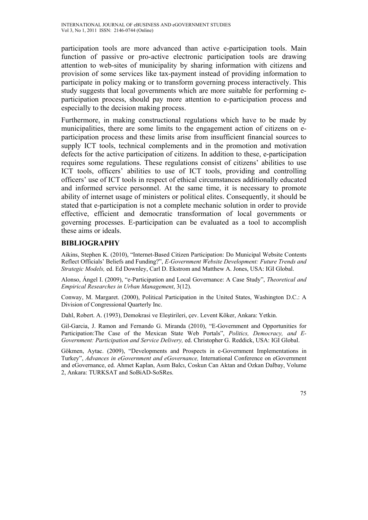participation tools are more advanced than active e-participation tools. Main function of passive or pro-active electronic participation tools are drawing attention to web-sites of municipality by sharing information with citizens and provision of some services like tax-payment instead of providing information to participate in policy making or to transform governing process interactively. This study suggests that local governments which are more suitable for performing eparticipation process, should pay more attention to e-participation process and especially to the decision making process.

Furthermore, in making constructional regulations which have to be made by municipalities, there are some limits to the engagement action of citizens on eparticipation process and these limits arise from insufficient financial sources to supply ICT tools, technical complements and in the promotion and motivation defects for the active participation of citizens. In addition to these, e-participation requires some regulations. These regulations consist of citizens' abilities to use ICT tools, officers' abilities to use of ICT tools, providing and controlling officers' use of ICT tools in respect of ethical circumstances additionally educated and informed service personnel. At the same time, it is necessary to promote ability of internet usage of ministers or political elites. Consequently, it should be stated that e-participation is not a complete mechanic solution in order to provide effective, efficient and democratic transformation of local governments or governing processes. E-participation can be evaluated as a tool to accomplish these aims or ideals.

### **BIBLIOGRAPHY**

Aikins, Stephen K. (2010), "Internet-Based Citizen Participation: Do Municipal Website Contents Reflect Officials' Beliefs and Funding?", *E-Government Website Development: Future Trends and Strategic Models,* ed. Ed Downley, Carl D. Ekstrom and Matthew A. Jones, USA: IGI Global.

Alonso, Ángel I. (2009), "e-Participation and Local Governance: A Case Study", *Theoretical and Empirical Researches in Urban Management*, 3(12).

Conway, M. Margaret. (2000), Political Participation in the United States, Washington D.C.: A Division of Congressional Quarterly Inc.

Dahl, Robert. A. (1993), Demokrasi ve Eleştirileri, çev. Levent Köker, Ankara: Yetkin.

Gil-Garcia, J. Ramon and Fernando G. Miranda (2010), "E-Government and Opportunities for Participation:The Case of the Mexican State Web Portals", *Politics, Democracy, and E-Government: Participation and Service Delivery,* ed. Christopher G. Reddick, USA: IGI Global.

Gökmen, Aytac. (2009), "Developments and Prospects in e-Government Implementations in Turkey", *Advances in eGovernment and eGovernance,* International Conference on eGovernment and eGovernance, ed. Ahmet Kaplan, Asım Balcı, Coskun Can Aktan and Ozkan Dalbay, Volume 2, Ankara: TURKSAT and SoBiAD-SoSRes.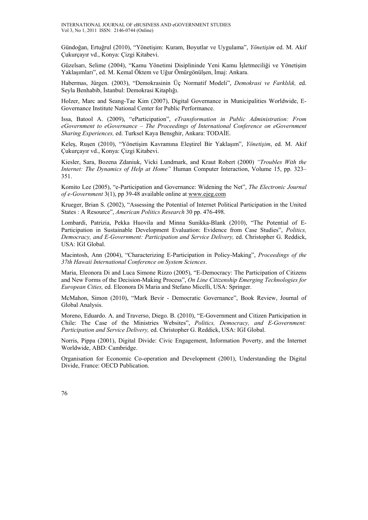Gündoğan, Ertuğrul (2010), "Yönetişim: Kuram, Boyutlar ve Uygulama", *Yönetişim* ed. M. Akif Çukurçayır vd., Konya: Çizgi Kitabevi.

Güzelsarı, Selime (2004), "Kamu Yönetimi Disiplininde Yeni Kamu İşletmeciliği ve Yönetişim Yaklaşımları", ed. M. Kemal Öktem ve Uğur Ömürgönülşen, İmaj: Ankara.

Habermas, Jürgen. (2003), "Demokrasinin Üç Normatif Modeli", *Demokrasi ve Farklılık,* ed. Seyla Benhabib, İstanbul: Demokrasi Kitaplığı.

Holzer, Marc and Seang-Tae Kim (2007), Digital Governance in Municipalities Worldwide, E-Governance Institute National Center for Public Performance.

Issa, Batool A. (2009), "eParticipation", *eTransformation in Public Administration: From eGovernment to eGovernance – The Proceedings of International Conference on eGovernment Sharing Experiences,* ed. Turksel Kaya Bensghir, Ankara: TODAİE.

Keleş, Ruşen (2010), "Yönetişim Kavramına Eleştirel Bir Yaklaşım", *Yönetişim*, ed. M. Akif Çukurçayır vd., Konya: Çizgi Kitabevi.

Kiesler, Sara, Bozena Zdaniuk, Vicki Lundmark, and Kraut Robert (2000) *"Troubles With the Internet: The Dynamics of Help at Home"* Human Computer Interaction, Volume 15, pp. 323– 351.

Komito Lee (2005), "e-Participation and Governance: Widening the Net", *The Electronic Journal of e-Government* 3(1), pp 39-48 available online at www.ejeg.com

Krueger, Brian S. (2002), "Assessing the Potential of Internet Political Participation in the United States : A Resource", *American Politics Research* 30 pp. 476-498.

Lombardi, Patrizia, Pekka Huovila and Minna Sunikka-Blank (2010), "The Potential of E-Participation in Sustainable Development Evaluation: Evidence from Case Studies", *Politics, Democracy, and E-Government: Participation and Service Delivery,* ed. Christopher G. Reddick, USA: IGI Global.

Macintosh, Ann (2004), "Characterizing E-Participation in Policy-Making", *Proceedings of the 37th Hawaii International Conference on System Sciences*.

Maria, Eleonora Di and Luca Simone Rizzo (2005), "E-Democracy: The Participation of Citizens and New Forms of the Decision-Making Process", *On Line Citizenship Emerging Technologies for European Cities,* ed. Eleonora Di Maria and Stefano Micelli, USA: Springer.

McMahon, Simon (2010), "Mark Bevir - Democratic Governance", Book Review, Journal of Global Analysis.

Moreno, Eduardo. A. and Traverso, Diego. B. (2010), "E-Government and Citizen Participation in Chile: The Case of the Ministries Websites", *Politics, Democracy, and E-Government: Participation and Service Delivery,* ed. Christopher G. Reddick, USA: IGI Global.

Norris, Pippa (2001), Digital Divide: Civic Engagement, Information Poverty, and the Internet Worldwide, ABD: Cambridge.

Organisation for Economic Co-operation and Development (2001), Understanding the Digital Divide, France: OECD Publication.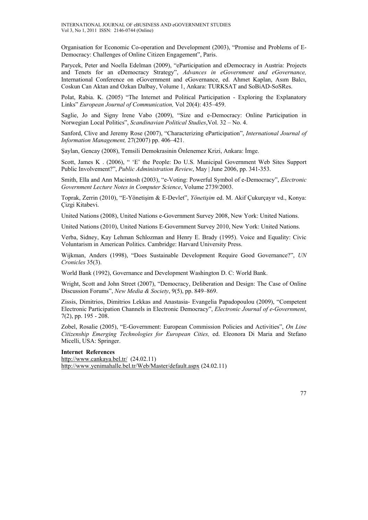Organisation for Economic Co-operation and Development (2003), "Promise and Problems of E-Democracy: Challenges of Online Citizen Engagement", Paris.

Parycek, Peter and Noella Edelman (2009), "eParticipation and eDemocracy in Austria: Projects and Tenets for an eDemocracy Strategy", *Advances in eGovernment and eGovernance,*  International Conference on eGovernment and eGovernance, ed. Ahmet Kaplan, Asım Balcı, Coskun Can Aktan and Ozkan Dalbay, Volume 1, Ankara: TURKSAT and SoBiAD-SoSRes.

Polat, Rabia. K. (2005) "The Internet and Political Participation - Exploring the Explanatory Links" *European Journal of Communication,* Vol 20(4): 435–459.

Saglie, Jo and Signy Irene Vabo (2009), "Size and e-Democracy: Online Participation in Norwegian Local Politics", *Scandinavian Political Studies*,Vol. 32 – No. 4.

Sanford, Clive and Jeremy Rose (2007), "Characterizing eParticipation", *International Journal of Information Management,* 27(2007) pp. 406–421.

Şaylan, Gencay (2008), Temsili Demokrasinin Önlenemez Krizi, Ankara: İmge.

Scott, James K . (2006), " 'E' the People: Do U.S. Municipal Government Web Sites Support Public Involvement?", *Public Administration Review*, May | June 2006, pp. 341-353.

Smith, Ella and Ann Macintosh (2003), "e-Voting: Powerful Symbol of e-Democracy", *Electronic Government Lecture Notes in Computer Science*, Volume 2739/2003.

Toprak, Zerrin (2010), "E-Yönetişim & E-Devlet", *Yönetişim* ed. M. Akif Çukurçayır vd., Konya: Çizgi Kitabevi.

United Nations (2008), United Nations e-Government Survey 2008, New York: United Nations.

United Nations (2010), United Nations E-Government Survey 2010, New York: United Nations.

Verba, Sidney, Kay Lehman Schlozman and Henry E. Brady (1995). Voice and Equality: Civic Voluntarism in American Politics. Cambridge: Harvard University Press.

Wijkman, Anders (1998), "Does Sustainable Development Require Good Governance?", *UN Cronicles* 35(3).

World Bank (1992), Governance and Development Washington D. C: World Bank.

Wright, Scott and John Street (2007), "Democracy, Deliberation and Design: The Case of Online Discussion Forums", *New Media & Society*, 9(5), pp. 849–869.

Zissis, Dimitrios, Dimitrios Lekkas and Anastasia- Evangelia Papadopoulou (2009), "Competent Electronic Participation Channels in Electronic Democracy", *Electronic Journal of e-Government*, 7(2), pp. 195 - 208.

Zobel, Rosalie (2005), "E-Government: European Commission Policies and Activities", *On Line Citizenship Emerging Technologies for European Cities,* ed. Eleonora Di Maria and Stefano Micelli, USA: Springer.

### **Internet References**

http://www.cankaya.bel.tr/ (24.02.11) http://www.yenimahalle.bel.tr/Web/Master/default.aspx (24.02.11)